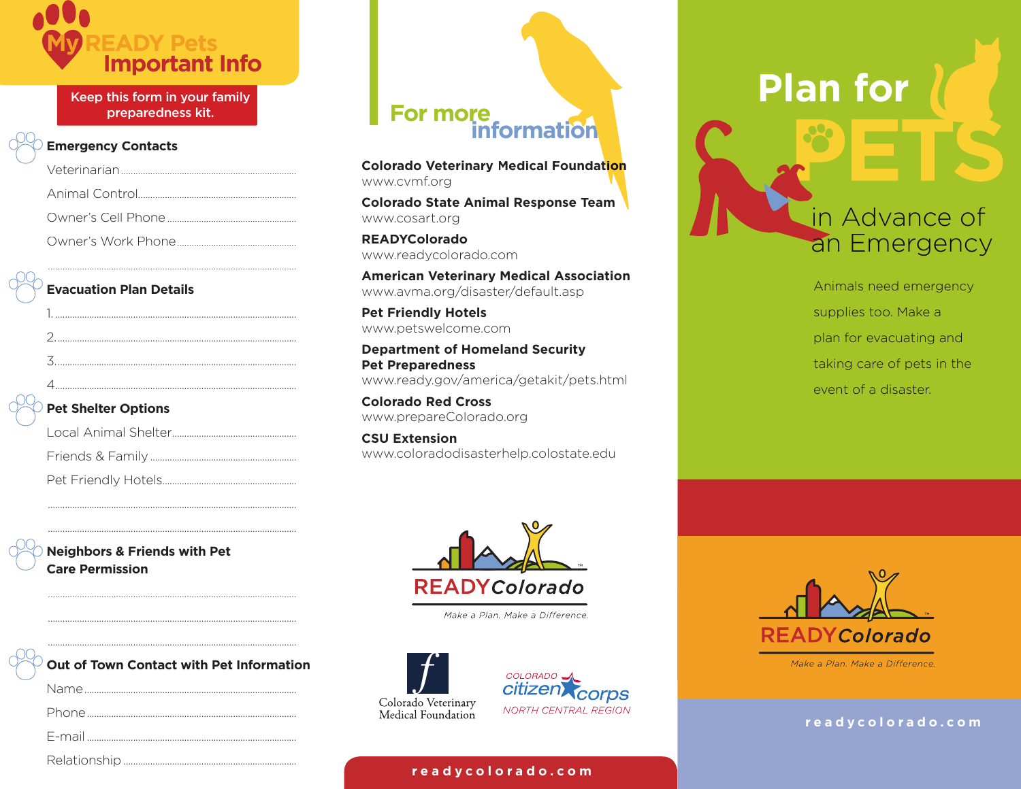

Keep this form in your family preparedness kit.

#### **Emergency Contacts**

#### **Evacuation Plan Details**

| <b>Pet Shelter Options</b> |
|----------------------------|
|                            |
|                            |
|                            |
|                            |

......................................................................................................

#### **Pet Shelter Options**

 ...................................................................................................... ......................................................................................................

 ...................................................................................................... ......................................................................................................

**Neighbors & Friends with Pet Care Permission** 

| $\circlearrowright$ Out of Town Contact with Pet Information |
|--------------------------------------------------------------|
|                                                              |
|                                                              |
|                                                              |

#### Relationship .......................................................................

# **For more**<br>*information*

**Colorado Veterinary Medical Foundation** www.cvmf.org

**Colorado State Animal Response Team** www.cosart.org

**READYColorado** www.readycolorado.com

**American Veterinary Medical Association** www.avma.org/disaster/default.asp

**Pet Friendly Hotels** www.petswelcome.com

**Department of Homeland Security Pet Preparedness**  www.ready.gov/america/getakit/pets.html

**Colorado Red Cross**  www.prepareColorado.org

**CSU Extension** www.coloradodisasterhelp.colostate.edu



Make a Plan. Make a Difference.





#### **r e a d y c o l o r a d o . c o m**

## **Plan for**

### in Advance of an Emergency

Animals need emergency supplies too. Make a plan for evacuating and taking care of pets in the event of a disaster.



Make a Plan. Make a Difference.

#### **r e a d y c o l o r a d o . c o m**